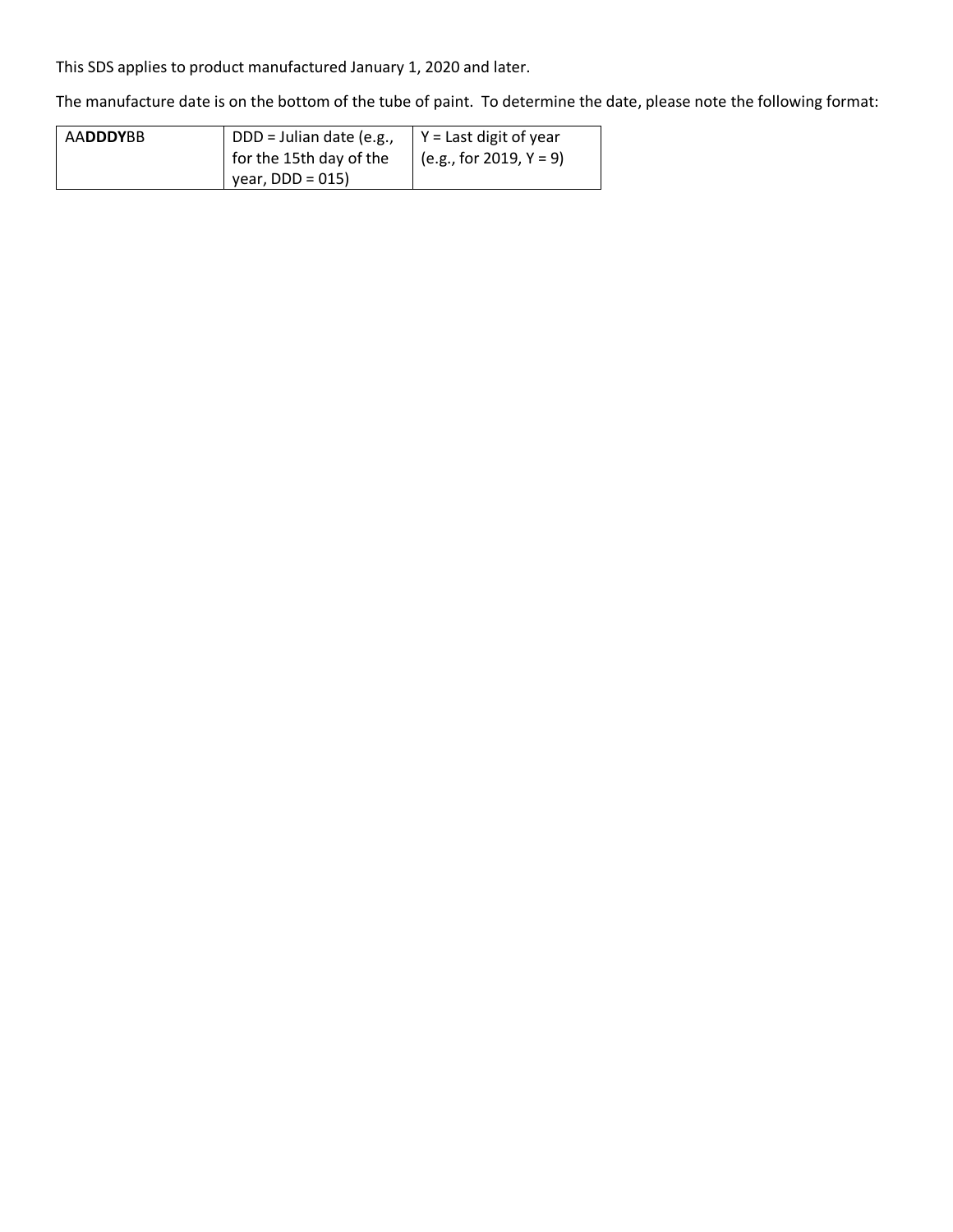This SDS applies to product manufactured January 1, 2020 and later.

The manufacture date is on the bottom of the tube of paint. To determine the date, please note the following format:

| <b>AADDDYBB</b> | DDD = Julian date (e.g., | $\vert$ Y = Last digit of year   |
|-----------------|--------------------------|----------------------------------|
|                 | for the 15th day of the  | $\sqrt{(e.g., for 2019, Y = 9)}$ |
|                 | $\vert$ year, DDD = 015) |                                  |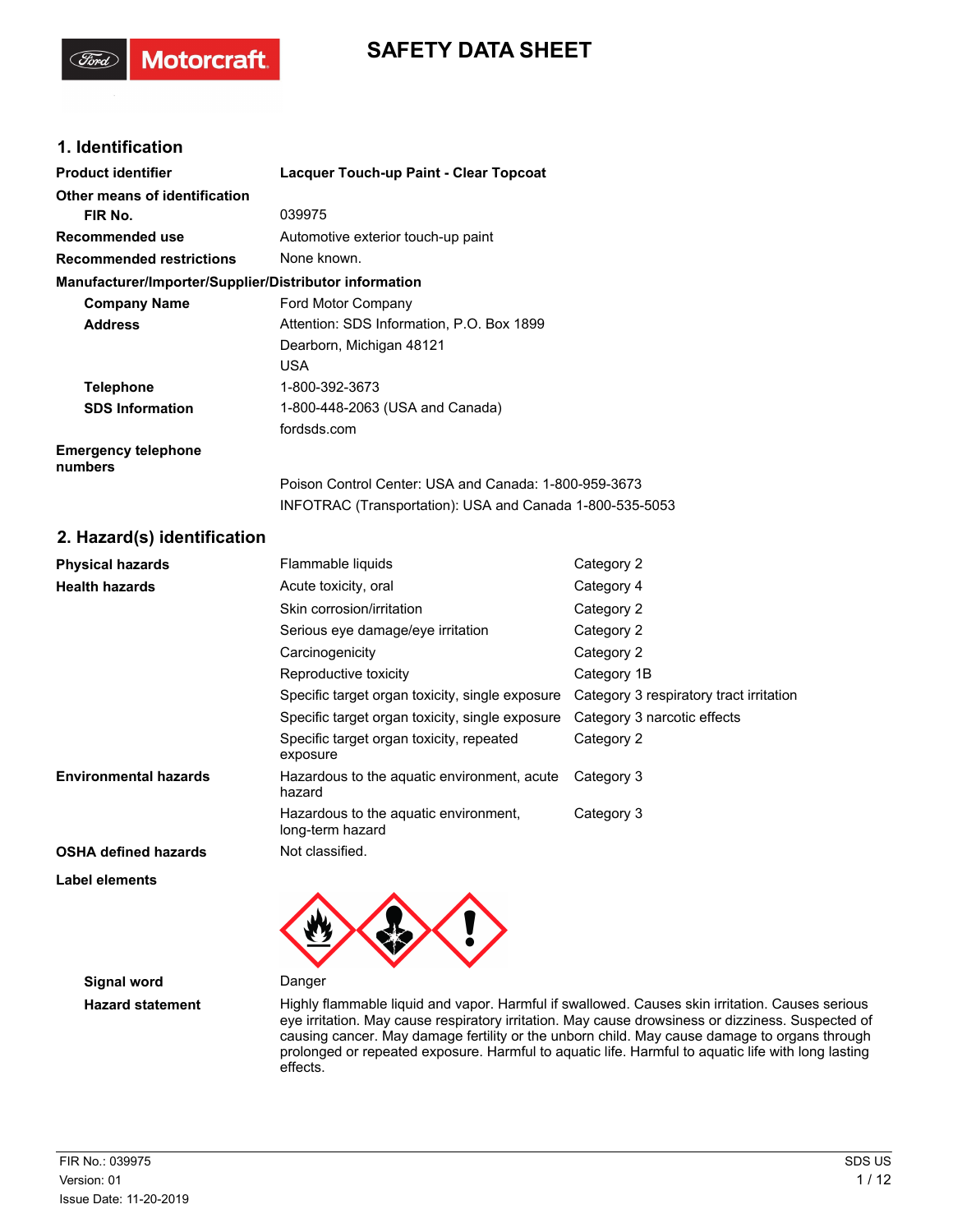# **SAFETY DATA SHEET**

## **1. Identification**

**Motorcraft** 

| <b>Product identifier</b>                              | Lacquer Touch-up Paint - Clear Topcoat                   |
|--------------------------------------------------------|----------------------------------------------------------|
| Other means of identification                          |                                                          |
| FIR No.                                                | 039975                                                   |
| Recommended use                                        | Automotive exterior touch-up paint                       |
| <b>Recommended restrictions</b>                        | None known.                                              |
| Manufacturer/Importer/Supplier/Distributor information |                                                          |
| <b>Company Name</b>                                    | Ford Motor Company                                       |
| <b>Address</b>                                         | Attention: SDS Information, P.O. Box 1899                |
|                                                        | Dearborn, Michigan 48121                                 |
|                                                        | <b>USA</b>                                               |
| <b>Telephone</b>                                       | 1-800-392-3673                                           |
| <b>SDS Information</b>                                 | 1-800-448-2063 (USA and Canada)                          |
|                                                        | fordsds.com                                              |
| <b>Emergency telephone</b><br>numbers                  |                                                          |
|                                                        | Poison Control Center: USA and Canada: 1-800-959-3673    |
|                                                        | INFOTRAC (Transportation): USA and Canada 1-800-535-5053 |
| 2. Hazard(s) identification                            |                                                          |

| <b>Physical hazards</b>      | Flammable liquids<br>Category 2                           |                                         |
|------------------------------|-----------------------------------------------------------|-----------------------------------------|
| <b>Health hazards</b>        | Acute toxicity, oral                                      | Category 4                              |
|                              | Skin corrosion/irritation                                 | Category 2                              |
|                              | Serious eye damage/eye irritation                         | Category 2                              |
|                              | Carcinogenicity                                           | Category 2                              |
|                              | Reproductive toxicity                                     | Category 1B                             |
|                              | Specific target organ toxicity, single exposure           | Category 3 respiratory tract irritation |
|                              | Specific target organ toxicity, single exposure           | Category 3 narcotic effects             |
|                              | Specific target organ toxicity, repeated<br>exposure      | Category 2                              |
| <b>Environmental hazards</b> | Hazardous to the aguatic environment, acute<br>hazard     | Category 3                              |
|                              | Hazardous to the aquatic environment.<br>long-term hazard | Category 3                              |
| <b>OSHA defined hazards</b>  | Not classified.                                           |                                         |

**Label elements**

**Signal word** Danger



**Hazard statement** Highly flammable liquid and vapor. Harmful if swallowed. Causes skin irritation. Causes serious eye irritation. May cause respiratory irritation. May cause drowsiness or dizziness. Suspected of causing cancer. May damage fertility or the unborn child. May cause damage to organs through prolonged or repeated exposure. Harmful to aquatic life. Harmful to aquatic life with long lasting effects.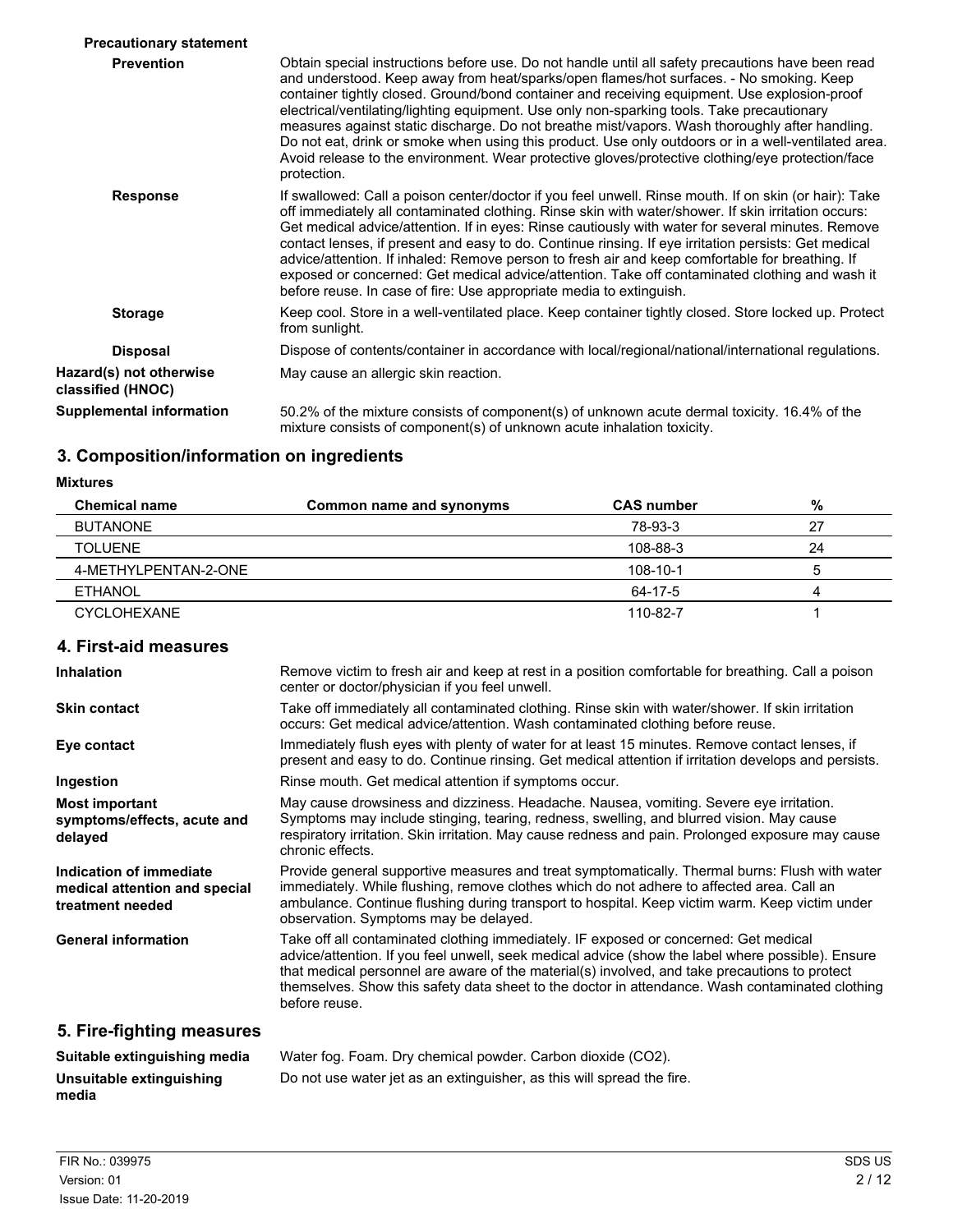| <b>Precautionary statement</b>               |                                                                                                                                                                                                                                                                                                                                                                                                                                                                                                                                                                                                                                                                                                                        |
|----------------------------------------------|------------------------------------------------------------------------------------------------------------------------------------------------------------------------------------------------------------------------------------------------------------------------------------------------------------------------------------------------------------------------------------------------------------------------------------------------------------------------------------------------------------------------------------------------------------------------------------------------------------------------------------------------------------------------------------------------------------------------|
| <b>Prevention</b>                            | Obtain special instructions before use. Do not handle until all safety precautions have been read<br>and understood. Keep away from heat/sparks/open flames/hot surfaces. - No smoking. Keep<br>container tightly closed. Ground/bond container and receiving equipment. Use explosion-proof<br>electrical/ventilating/lighting equipment. Use only non-sparking tools. Take precautionary<br>measures against static discharge. Do not breathe mist/vapors. Wash thoroughly after handling.<br>Do not eat, drink or smoke when using this product. Use only outdoors or in a well-ventilated area.<br>Avoid release to the environment. Wear protective gloves/protective clothing/eye protection/face<br>protection. |
| <b>Response</b>                              | If swallowed: Call a poison center/doctor if you feel unwell. Rinse mouth. If on skin (or hair): Take<br>off immediately all contaminated clothing. Rinse skin with water/shower. If skin irritation occurs:<br>Get medical advice/attention. If in eyes: Rinse cautiously with water for several minutes. Remove<br>contact lenses, if present and easy to do. Continue rinsing. If eye irritation persists: Get medical<br>advice/attention. If inhaled: Remove person to fresh air and keep comfortable for breathing. If<br>exposed or concerned: Get medical advice/attention. Take off contaminated clothing and wash it<br>before reuse. In case of fire: Use appropriate media to extinguish.                  |
| <b>Storage</b>                               | Keep cool. Store in a well-ventilated place. Keep container tightly closed. Store locked up. Protect<br>from sunlight.                                                                                                                                                                                                                                                                                                                                                                                                                                                                                                                                                                                                 |
| <b>Disposal</b>                              | Dispose of contents/container in accordance with local/regional/national/international regulations.                                                                                                                                                                                                                                                                                                                                                                                                                                                                                                                                                                                                                    |
| Hazard(s) not otherwise<br>classified (HNOC) | May cause an allergic skin reaction.                                                                                                                                                                                                                                                                                                                                                                                                                                                                                                                                                                                                                                                                                   |
| <b>Supplemental information</b>              | 50.2% of the mixture consists of component(s) of unknown acute dermal toxicity. 16.4% of the<br>mixture consists of component(s) of unknown acute inhalation toxicity.                                                                                                                                                                                                                                                                                                                                                                                                                                                                                                                                                 |

# **3. Composition/information on ingredients**

**Mixtures**

| <b>Chemical name</b> | Common name and synonyms | <b>CAS</b> number | %  |
|----------------------|--------------------------|-------------------|----|
| BUTANONE             |                          | 78-93-3           | 27 |
| <b>TOLUENE</b>       |                          | 108-88-3          | 24 |
| 4-METHYLPENTAN-2-ONE |                          | 108-10-1          | b  |
| <b>ETHANOL</b>       |                          | 64-17-5           | 4  |
| <b>CYCLOHEXANE</b>   |                          | 110-82-7          |    |

# **4. First-aid measures**

| <b>Inhalation</b>                                                            | Remove victim to fresh air and keep at rest in a position comfortable for breathing. Call a poison<br>center or doctor/physician if you feel unwell.                                                                                                                                                                                                                                                           |
|------------------------------------------------------------------------------|----------------------------------------------------------------------------------------------------------------------------------------------------------------------------------------------------------------------------------------------------------------------------------------------------------------------------------------------------------------------------------------------------------------|
| <b>Skin contact</b>                                                          | Take off immediately all contaminated clothing. Rinse skin with water/shower. If skin irritation<br>occurs: Get medical advice/attention. Wash contaminated clothing before reuse.                                                                                                                                                                                                                             |
| Eye contact                                                                  | Immediately flush eyes with plenty of water for at least 15 minutes. Remove contact lenses, if<br>present and easy to do. Continue rinsing. Get medical attention if irritation develops and persists.                                                                                                                                                                                                         |
| Ingestion                                                                    | Rinse mouth. Get medical attention if symptoms occur.                                                                                                                                                                                                                                                                                                                                                          |
| <b>Most important</b><br>symptoms/effects, acute and<br>delayed              | May cause drowsiness and dizziness. Headache. Nausea, vomiting. Severe eye irritation.<br>Symptoms may include stinging, tearing, redness, swelling, and blurred vision. May cause<br>respiratory irritation. Skin irritation. May cause redness and pain. Prolonged exposure may cause<br>chronic effects.                                                                                                    |
| Indication of immediate<br>medical attention and special<br>treatment needed | Provide general supportive measures and treat symptomatically. Thermal burns: Flush with water<br>immediately. While flushing, remove clothes which do not adhere to affected area. Call an<br>ambulance. Continue flushing during transport to hospital. Keep victim warm. Keep victim under<br>observation. Symptoms may be delayed.                                                                         |
| <b>General information</b>                                                   | Take off all contaminated clothing immediately. IF exposed or concerned: Get medical<br>advice/attention. If you feel unwell, seek medical advice (show the label where possible). Ensure<br>that medical personnel are aware of the material(s) involved, and take precautions to protect<br>themselves. Show this safety data sheet to the doctor in attendance. Wash contaminated clothing<br>before reuse. |
| 5. Fire-fighting measures                                                    |                                                                                                                                                                                                                                                                                                                                                                                                                |

| Suitable extinguishing media | Water fog. Foam. Dry chemical powder. Carbon dioxide (CO2).            |
|------------------------------|------------------------------------------------------------------------|
| Unsuitable extinguishing     | Do not use water jet as an extinguisher, as this will spread the fire. |
| media                        |                                                                        |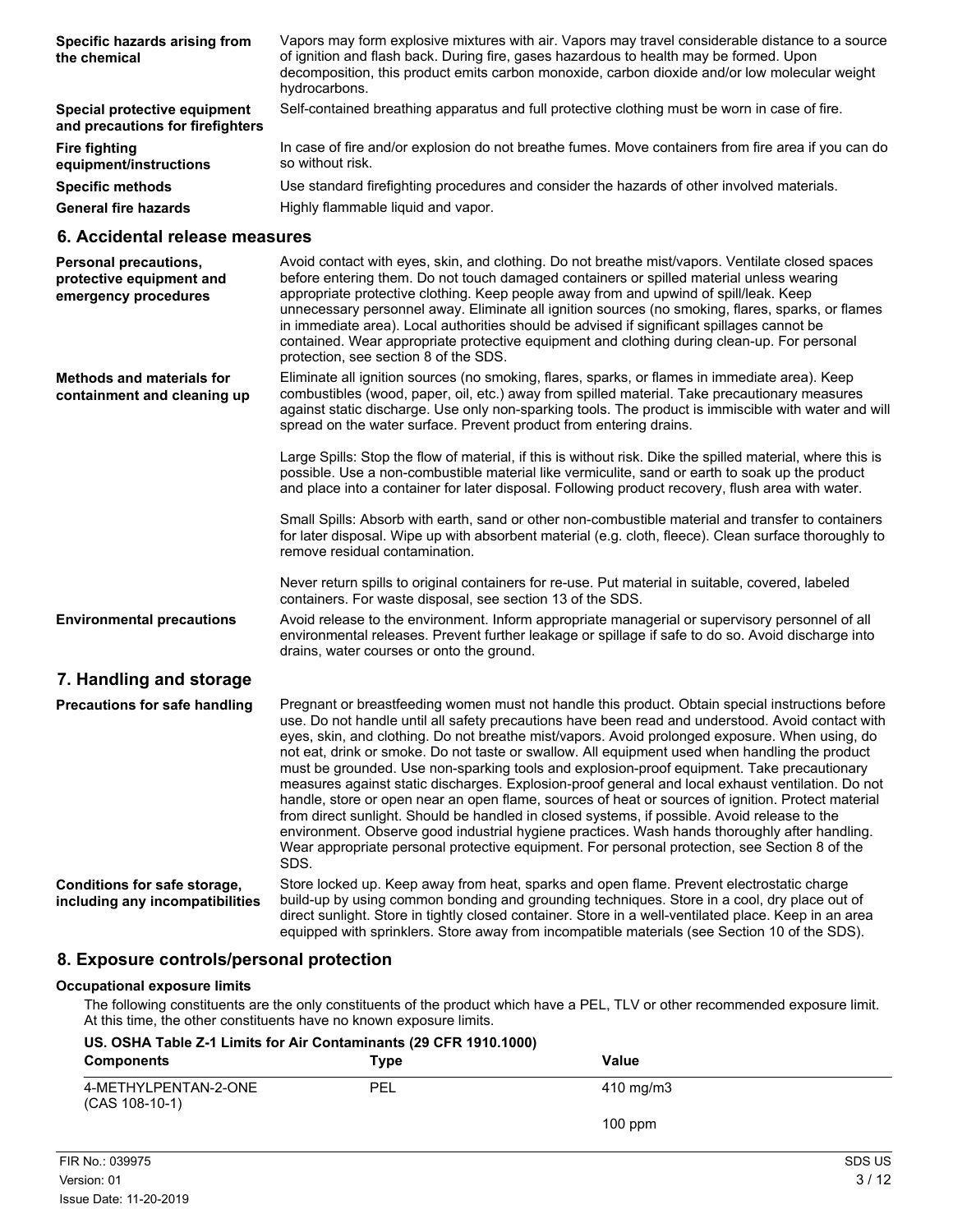| Specific hazards arising from<br>the chemical                                                                                                                                                                                                                                                                                                                         | Vapors may form explosive mixtures with air. Vapors may travel considerable distance to a source<br>of ignition and flash back. During fire, gases hazardous to health may be formed. Upon<br>decomposition, this product emits carbon monoxide, carbon dioxide and/or low molecular weight<br>hydrocarbons.                                                                                                                                                                                                                                                                                                                                                                                                                                                                                                                                                                                                                                                                                                                 |  |
|-----------------------------------------------------------------------------------------------------------------------------------------------------------------------------------------------------------------------------------------------------------------------------------------------------------------------------------------------------------------------|------------------------------------------------------------------------------------------------------------------------------------------------------------------------------------------------------------------------------------------------------------------------------------------------------------------------------------------------------------------------------------------------------------------------------------------------------------------------------------------------------------------------------------------------------------------------------------------------------------------------------------------------------------------------------------------------------------------------------------------------------------------------------------------------------------------------------------------------------------------------------------------------------------------------------------------------------------------------------------------------------------------------------|--|
| Special protective equipment<br>and precautions for firefighters                                                                                                                                                                                                                                                                                                      | Self-contained breathing apparatus and full protective clothing must be worn in case of fire.                                                                                                                                                                                                                                                                                                                                                                                                                                                                                                                                                                                                                                                                                                                                                                                                                                                                                                                                |  |
| <b>Fire fighting</b><br>equipment/instructions                                                                                                                                                                                                                                                                                                                        | In case of fire and/or explosion do not breathe fumes. Move containers from fire area if you can do<br>so without risk.                                                                                                                                                                                                                                                                                                                                                                                                                                                                                                                                                                                                                                                                                                                                                                                                                                                                                                      |  |
| <b>Specific methods</b>                                                                                                                                                                                                                                                                                                                                               | Use standard firefighting procedures and consider the hazards of other involved materials.                                                                                                                                                                                                                                                                                                                                                                                                                                                                                                                                                                                                                                                                                                                                                                                                                                                                                                                                   |  |
| <b>General fire hazards</b>                                                                                                                                                                                                                                                                                                                                           | Highly flammable liquid and vapor.                                                                                                                                                                                                                                                                                                                                                                                                                                                                                                                                                                                                                                                                                                                                                                                                                                                                                                                                                                                           |  |
| 6. Accidental release measures                                                                                                                                                                                                                                                                                                                                        |                                                                                                                                                                                                                                                                                                                                                                                                                                                                                                                                                                                                                                                                                                                                                                                                                                                                                                                                                                                                                              |  |
| Personal precautions,<br>protective equipment and<br>emergency procedures                                                                                                                                                                                                                                                                                             | Avoid contact with eyes, skin, and clothing. Do not breathe mist/vapors. Ventilate closed spaces<br>before entering them. Do not touch damaged containers or spilled material unless wearing<br>appropriate protective clothing. Keep people away from and upwind of spill/leak. Keep<br>unnecessary personnel away. Eliminate all ignition sources (no smoking, flares, sparks, or flames<br>in immediate area). Local authorities should be advised if significant spillages cannot be<br>contained. Wear appropriate protective equipment and clothing during clean-up. For personal<br>protection, see section 8 of the SDS.                                                                                                                                                                                                                                                                                                                                                                                             |  |
| <b>Methods and materials for</b><br>containment and cleaning up                                                                                                                                                                                                                                                                                                       | Eliminate all ignition sources (no smoking, flares, sparks, or flames in immediate area). Keep<br>combustibles (wood, paper, oil, etc.) away from spilled material. Take precautionary measures<br>against static discharge. Use only non-sparking tools. The product is immiscible with water and will<br>spread on the water surface. Prevent product from entering drains.                                                                                                                                                                                                                                                                                                                                                                                                                                                                                                                                                                                                                                                |  |
|                                                                                                                                                                                                                                                                                                                                                                       | Large Spills: Stop the flow of material, if this is without risk. Dike the spilled material, where this is<br>possible. Use a non-combustible material like vermiculite, sand or earth to soak up the product<br>and place into a container for later disposal. Following product recovery, flush area with water.                                                                                                                                                                                                                                                                                                                                                                                                                                                                                                                                                                                                                                                                                                           |  |
|                                                                                                                                                                                                                                                                                                                                                                       | Small Spills: Absorb with earth, sand or other non-combustible material and transfer to containers<br>for later disposal. Wipe up with absorbent material (e.g. cloth, fleece). Clean surface thoroughly to<br>remove residual contamination.                                                                                                                                                                                                                                                                                                                                                                                                                                                                                                                                                                                                                                                                                                                                                                                |  |
|                                                                                                                                                                                                                                                                                                                                                                       | Never return spills to original containers for re-use. Put material in suitable, covered, labeled<br>containers. For waste disposal, see section 13 of the SDS.                                                                                                                                                                                                                                                                                                                                                                                                                                                                                                                                                                                                                                                                                                                                                                                                                                                              |  |
| <b>Environmental precautions</b>                                                                                                                                                                                                                                                                                                                                      | Avoid release to the environment. Inform appropriate managerial or supervisory personnel of all<br>environmental releases. Prevent further leakage or spillage if safe to do so. Avoid discharge into<br>drains, water courses or onto the ground.                                                                                                                                                                                                                                                                                                                                                                                                                                                                                                                                                                                                                                                                                                                                                                           |  |
| 7. Handling and storage                                                                                                                                                                                                                                                                                                                                               |                                                                                                                                                                                                                                                                                                                                                                                                                                                                                                                                                                                                                                                                                                                                                                                                                                                                                                                                                                                                                              |  |
| <b>Precautions for safe handling</b>                                                                                                                                                                                                                                                                                                                                  | Pregnant or breastfeeding women must not handle this product. Obtain special instructions before<br>use. Do not handle until all safety precautions have been read and understood. Avoid contact with<br>eyes, skin, and clothing. Do not breathe mist/vapors. Avoid prolonged exposure. When using, do<br>not eat, drink or smoke. Do not taste or swallow. All equipment used when handling the product<br>must be grounded. Use non-sparking tools and explosion-proof equipment. Take precautionary<br>measures against static discharges. Explosion-proof general and local exhaust ventilation. Do not<br>handle, store or open near an open flame, sources of heat or sources of ignition. Protect material<br>from direct sunlight. Should be handled in closed systems, if possible. Avoid release to the<br>environment. Observe good industrial hygiene practices. Wash hands thoroughly after handling.<br>Wear appropriate personal protective equipment. For personal protection, see Section 8 of the<br>SDS. |  |
| Store locked up. Keep away from heat, sparks and open flame. Prevent electrostatic charge<br>Conditions for safe storage,<br>build-up by using common bonding and grounding techniques. Store in a cool, dry place out of<br>including any incompatibilities<br>direct sunlight. Store in tightly closed container. Store in a well-ventilated place. Keep in an area |                                                                                                                                                                                                                                                                                                                                                                                                                                                                                                                                                                                                                                                                                                                                                                                                                                                                                                                                                                                                                              |  |

# **8. Exposure controls/personal protection**

## **Occupational exposure limits**

The following constituents are the only constituents of the product which have a PEL, TLV or other recommended exposure limit. At this time, the other constituents have no known exposure limits.

equipped with sprinklers. Store away from incompatible materials (see Section 10 of the SDS).

| US. OSHA Table Z-1 Limits for Air Contaminants (29 CFR 1910.1000)<br><b>Components</b> | Type | Value     |  |
|----------------------------------------------------------------------------------------|------|-----------|--|
| 4-METHYLPENTAN-2-ONE<br>$(CAS 108-10-1)$                                               | PEL  | 410 mg/m3 |  |
|                                                                                        |      | $100$ ppm |  |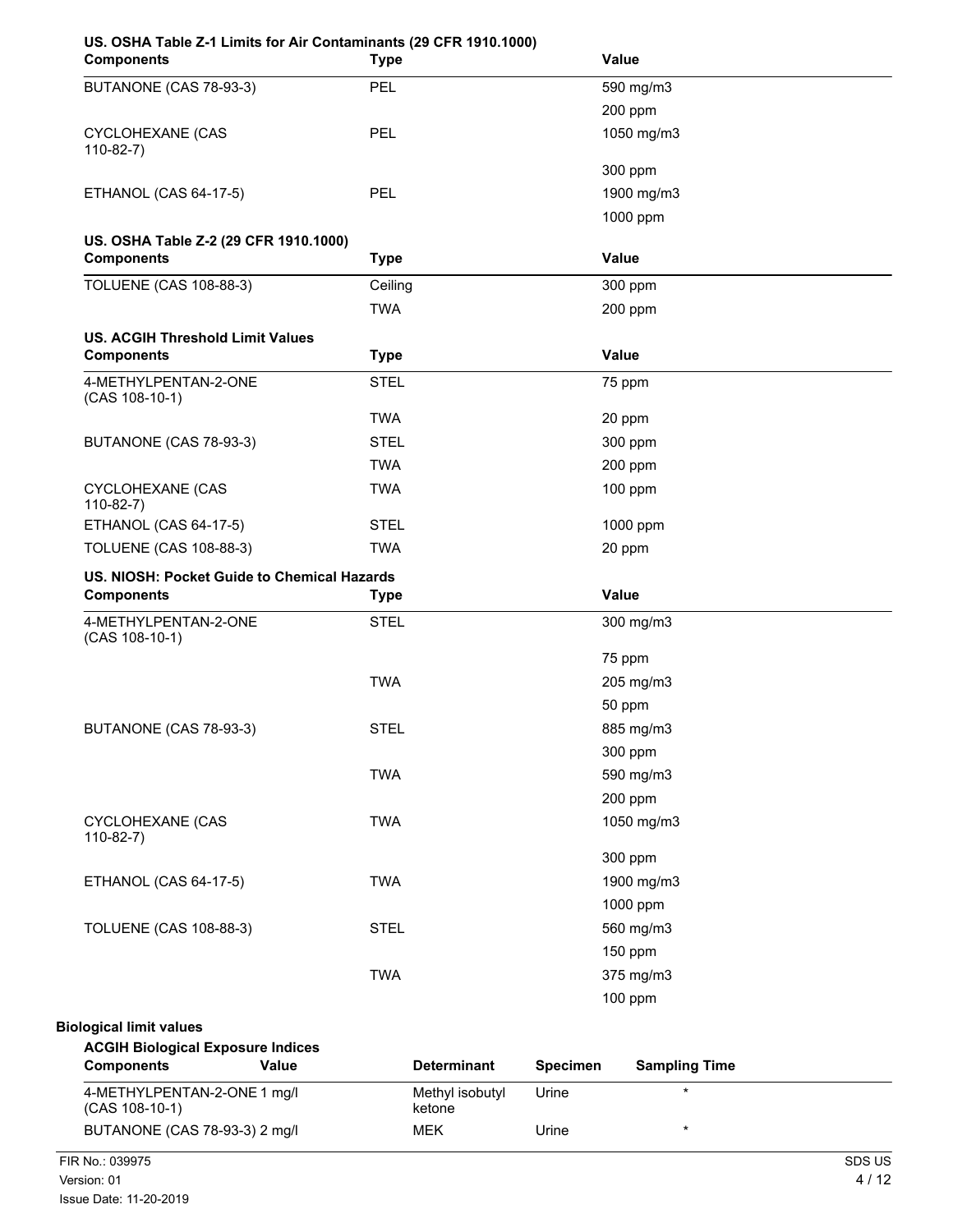| US. OSHA Table Z-1 Limits for Air Contaminants (29 CFR 1910.1000)<br><b>Components</b> | <b>Type</b> | <b>Value</b> |  |
|----------------------------------------------------------------------------------------|-------------|--------------|--|
| BUTANONE (CAS 78-93-3)                                                                 | <b>PEL</b>  | 590 mg/m3    |  |
|                                                                                        |             | 200 ppm      |  |
| <b>CYCLOHEXANE (CAS</b><br>$110-82-7)$                                                 | <b>PEL</b>  | 1050 mg/m3   |  |
|                                                                                        |             | 300 ppm      |  |
| ETHANOL (CAS 64-17-5)                                                                  | PEL         | 1900 mg/m3   |  |
|                                                                                        |             | 1000 ppm     |  |
| US. OSHA Table Z-2 (29 CFR 1910.1000)                                                  |             |              |  |
| <b>Components</b>                                                                      | <b>Type</b> | Value        |  |
| <b>TOLUENE (CAS 108-88-3)</b>                                                          | Ceiling     | 300 ppm      |  |
|                                                                                        | <b>TWA</b>  | 200 ppm      |  |
| <b>US. ACGIH Threshold Limit Values</b>                                                |             |              |  |
| <b>Components</b>                                                                      | <b>Type</b> | Value        |  |
| 4-METHYLPENTAN-2-ONE<br>(CAS 108-10-1)                                                 | <b>STEL</b> | 75 ppm       |  |
|                                                                                        | <b>TWA</b>  | 20 ppm       |  |
| BUTANONE (CAS 78-93-3)                                                                 | <b>STEL</b> | 300 ppm      |  |
|                                                                                        | <b>TWA</b>  | 200 ppm      |  |
| <b>CYCLOHEXANE (CAS</b><br>$110-82-7$                                                  | <b>TWA</b>  | 100 ppm      |  |
| ETHANOL (CAS 64-17-5)                                                                  | <b>STEL</b> | 1000 ppm     |  |
| <b>TOLUENE (CAS 108-88-3)</b>                                                          | <b>TWA</b>  | 20 ppm       |  |
| US. NIOSH: Pocket Guide to Chemical Hazards<br><b>Components</b>                       | <b>Type</b> | Value        |  |
| 4-METHYLPENTAN-2-ONE                                                                   | <b>STEL</b> | 300 mg/m3    |  |
| (CAS 108-10-1)                                                                         |             | 75 ppm       |  |
|                                                                                        | <b>TWA</b>  | 205 mg/m3    |  |
|                                                                                        |             | 50 ppm       |  |
| BUTANONE (CAS 78-93-3)                                                                 | <b>STEL</b> | 885 mg/m3    |  |
|                                                                                        |             | 300 ppm      |  |
|                                                                                        | <b>TWA</b>  | 590 mg/m3    |  |
|                                                                                        |             | 200 ppm      |  |
| CYCLOHEXANE (CAS                                                                       | <b>TWA</b>  | 1050 mg/m3   |  |
| $110-82-7$                                                                             |             |              |  |
|                                                                                        |             | 300 ppm      |  |
| ETHANOL (CAS 64-17-5)                                                                  | <b>TWA</b>  | 1900 mg/m3   |  |
|                                                                                        |             | 1000 ppm     |  |
| <b>TOLUENE (CAS 108-88-3)</b>                                                          | <b>STEL</b> | 560 mg/m3    |  |
|                                                                                        |             | 150 ppm      |  |
|                                                                                        | <b>TWA</b>  | 375 mg/m3    |  |
|                                                                                        |             | 100 ppm      |  |
| ممساميد فلمعنا المماسما                                                                |             |              |  |

### **Biological limit values ACGIH Biological Exposure Indices**

| <b>Components</b>                               | Value | <b>Determinant</b>        | <b>Specimen</b> | <b>Sampling Time</b> |  |
|-------------------------------------------------|-------|---------------------------|-----------------|----------------------|--|
| 4-METHYLPENTAN-2-ONE 1 mg/l<br>$(CAS 108-10-1)$ |       | Methyl isobutyl<br>ketone | Urine           |                      |  |
| BUTANONE (CAS 78-93-3) 2 mg/l                   |       | <b>MEK</b>                | Urine           |                      |  |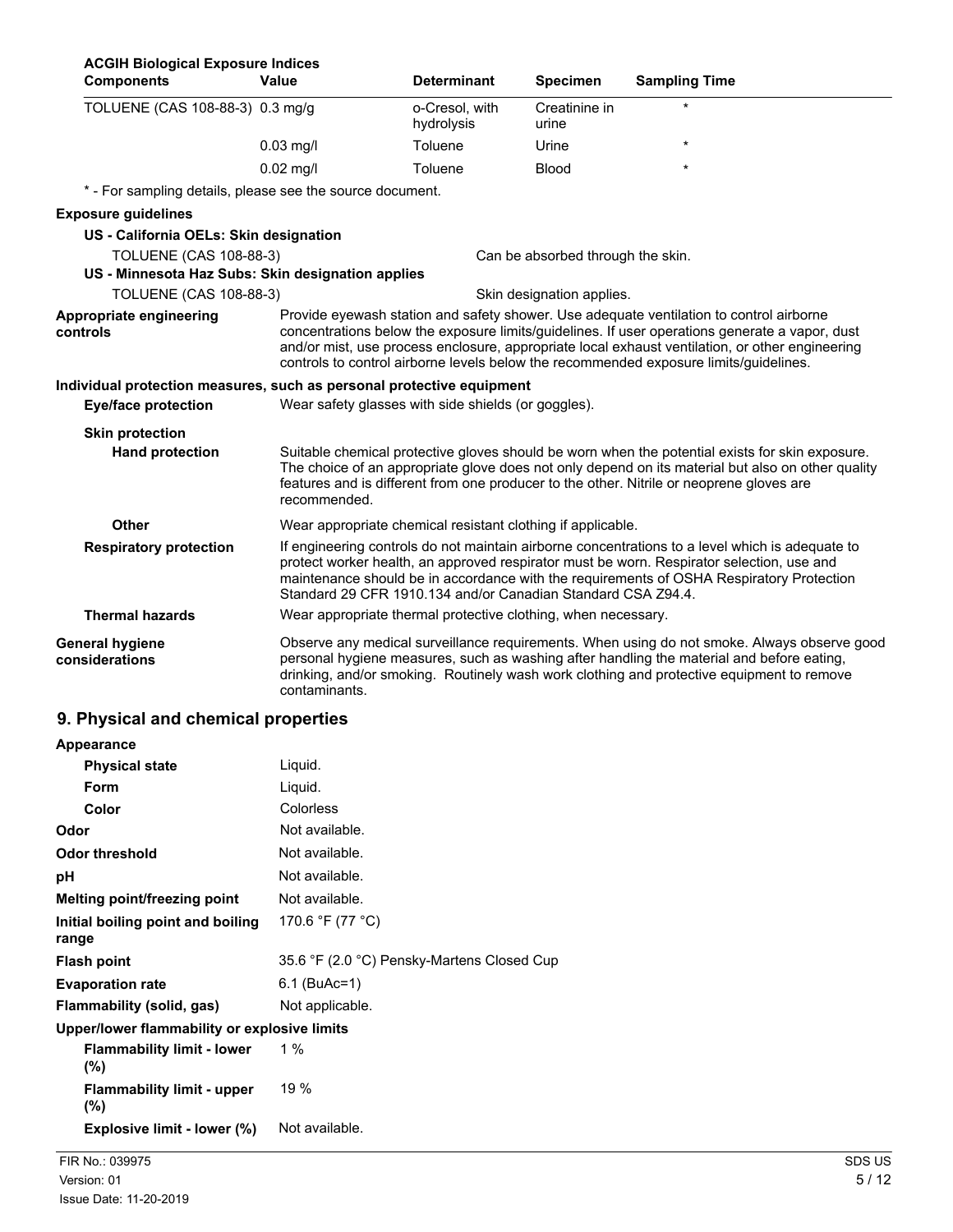| <b>ACGIH Biological Exposure Indices</b><br><b>Components</b>         | Value                                                       | <b>Determinant</b>                                                                                                                                                                                                                                                                                                                                                                    | <b>Specimen</b>                   | <b>Sampling Time</b>                                                                                                                                                                                                                                                                             |  |
|-----------------------------------------------------------------------|-------------------------------------------------------------|---------------------------------------------------------------------------------------------------------------------------------------------------------------------------------------------------------------------------------------------------------------------------------------------------------------------------------------------------------------------------------------|-----------------------------------|--------------------------------------------------------------------------------------------------------------------------------------------------------------------------------------------------------------------------------------------------------------------------------------------------|--|
| TOLUENE (CAS 108-88-3) 0.3 mg/g                                       |                                                             | o-Cresol, with<br>hydrolysis                                                                                                                                                                                                                                                                                                                                                          | Creatinine in<br>urine            |                                                                                                                                                                                                                                                                                                  |  |
|                                                                       | $0.03$ mg/l                                                 | Toluene                                                                                                                                                                                                                                                                                                                                                                               | Urine                             | $\star$                                                                                                                                                                                                                                                                                          |  |
|                                                                       | $0.02$ mg/l                                                 | Toluene                                                                                                                                                                                                                                                                                                                                                                               | Blood                             | *                                                                                                                                                                                                                                                                                                |  |
| * - For sampling details, please see the source document.             |                                                             |                                                                                                                                                                                                                                                                                                                                                                                       |                                   |                                                                                                                                                                                                                                                                                                  |  |
| <b>Exposure guidelines</b>                                            |                                                             |                                                                                                                                                                                                                                                                                                                                                                                       |                                   |                                                                                                                                                                                                                                                                                                  |  |
| US - California OELs: Skin designation                                |                                                             |                                                                                                                                                                                                                                                                                                                                                                                       |                                   |                                                                                                                                                                                                                                                                                                  |  |
| <b>TOLUENE (CAS 108-88-3)</b>                                         |                                                             |                                                                                                                                                                                                                                                                                                                                                                                       | Can be absorbed through the skin. |                                                                                                                                                                                                                                                                                                  |  |
| US - Minnesota Haz Subs: Skin designation applies                     |                                                             |                                                                                                                                                                                                                                                                                                                                                                                       |                                   |                                                                                                                                                                                                                                                                                                  |  |
| <b>TOLUENE (CAS 108-88-3)</b>                                         |                                                             |                                                                                                                                                                                                                                                                                                                                                                                       | Skin designation applies.         |                                                                                                                                                                                                                                                                                                  |  |
| Appropriate engineering<br>controls                                   |                                                             | Provide eyewash station and safety shower. Use adequate ventilation to control airborne<br>concentrations below the exposure limits/guidelines. If user operations generate a vapor, dust<br>and/or mist, use process enclosure, appropriate local exhaust ventilation, or other engineering<br>controls to control airborne levels below the recommended exposure limits/guidelines. |                                   |                                                                                                                                                                                                                                                                                                  |  |
| Individual protection measures, such as personal protective equipment |                                                             |                                                                                                                                                                                                                                                                                                                                                                                       |                                   |                                                                                                                                                                                                                                                                                                  |  |
| <b>Eye/face protection</b>                                            |                                                             | Wear safety glasses with side shields (or goggles).                                                                                                                                                                                                                                                                                                                                   |                                   |                                                                                                                                                                                                                                                                                                  |  |
| <b>Skin protection</b>                                                |                                                             |                                                                                                                                                                                                                                                                                                                                                                                       |                                   |                                                                                                                                                                                                                                                                                                  |  |
| <b>Hand protection</b>                                                | recommended.                                                |                                                                                                                                                                                                                                                                                                                                                                                       |                                   | Suitable chemical protective gloves should be worn when the potential exists for skin exposure.<br>The choice of an appropriate glove does not only depend on its material but also on other quality<br>features and is different from one producer to the other. Nitrile or neoprene gloves are |  |
| Other                                                                 | Wear appropriate chemical resistant clothing if applicable. |                                                                                                                                                                                                                                                                                                                                                                                       |                                   |                                                                                                                                                                                                                                                                                                  |  |
| <b>Respiratory protection</b>                                         |                                                             | Standard 29 CFR 1910.134 and/or Canadian Standard CSA Z94.4.                                                                                                                                                                                                                                                                                                                          |                                   | If engineering controls do not maintain airborne concentrations to a level which is adequate to<br>protect worker health, an approved respirator must be worn. Respirator selection, use and<br>maintenance should be in accordance with the requirements of OSHA Respiratory Protection         |  |
| <b>Thermal hazards</b>                                                |                                                             | Wear appropriate thermal protective clothing, when necessary.                                                                                                                                                                                                                                                                                                                         |                                   |                                                                                                                                                                                                                                                                                                  |  |
| <b>General hygiene</b><br>considerations                              | contaminants.                                               |                                                                                                                                                                                                                                                                                                                                                                                       |                                   | Observe any medical surveillance requirements. When using do not smoke. Always observe good<br>personal hygiene measures, such as washing after handling the material and before eating,<br>drinking, and/or smoking. Routinely wash work clothing and protective equipment to remove            |  |

# **9. Physical and chemical properties**

| Appearance                                   |                                            |
|----------------------------------------------|--------------------------------------------|
| <b>Physical state</b>                        | Liquid.                                    |
| Form                                         | Liquid.                                    |
| Color                                        | Colorless                                  |
| Odor                                         | Not available.                             |
| Odor threshold                               | Not available.                             |
| рH                                           | Not available.                             |
| <b>Melting point/freezing point</b>          | Not available.                             |
| Initial boiling point and boiling<br>range   | 170.6 °F (77 °C)                           |
| <b>Flash point</b>                           | 35.6 °F (2.0 °C) Pensky-Martens Closed Cup |
| <b>Evaporation rate</b>                      | 6.1 (BuAc=1)                               |
| Flammability (solid, gas)                    | Not applicable.                            |
| Upper/lower flammability or explosive limits |                                            |
| <b>Flammability limit - lower</b><br>$(\%)$  | 1 %                                        |
| <b>Flammability limit - upper</b><br>$(\%)$  | 19 %                                       |
| Explosive limit - lower (%)                  | Not available.                             |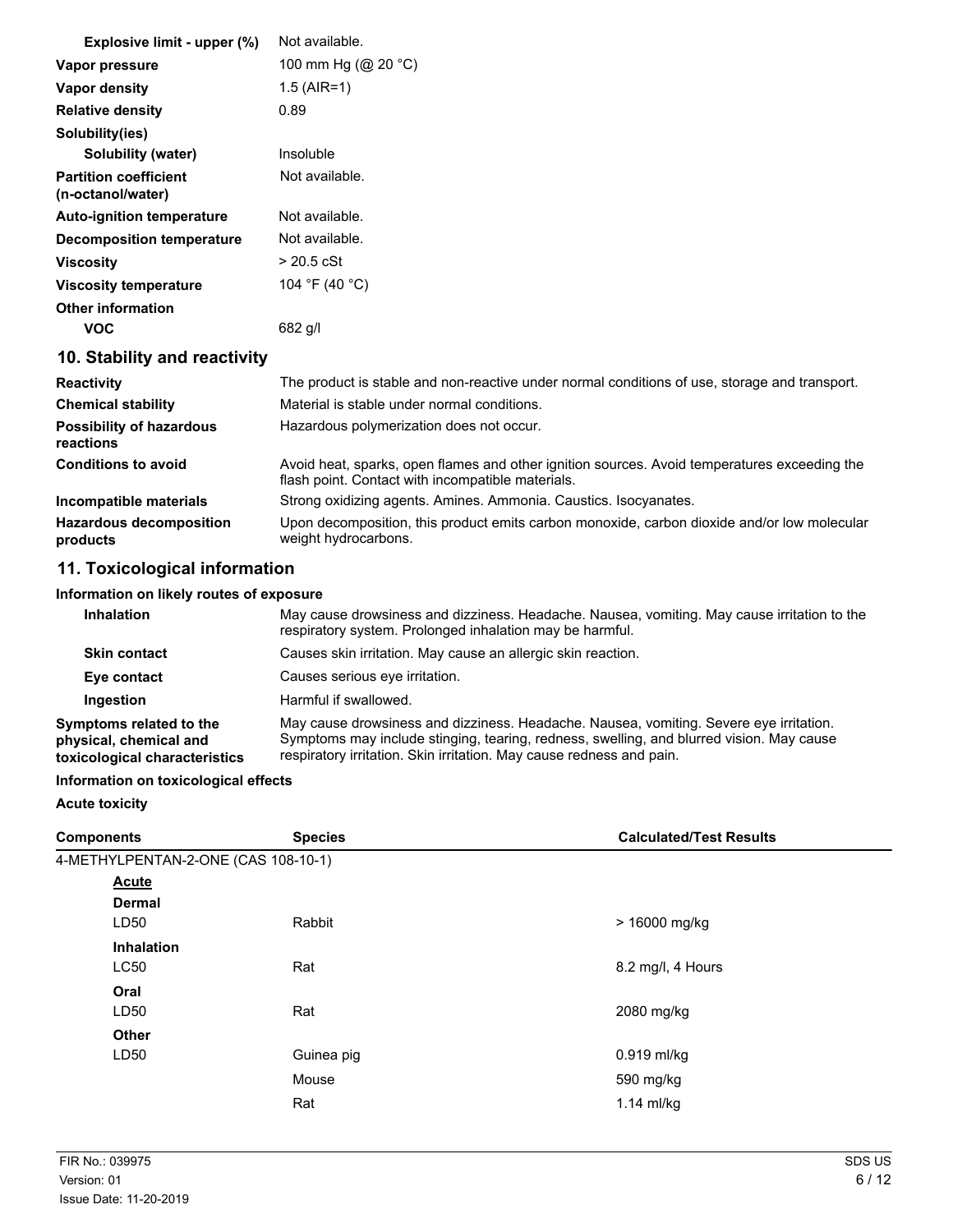| Explosive limit - upper (%)                       | Not available.                                                                                                                                    |  |  |
|---------------------------------------------------|---------------------------------------------------------------------------------------------------------------------------------------------------|--|--|
| Vapor pressure                                    | 100 mm Hg (@ 20 °C)                                                                                                                               |  |  |
| <b>Vapor density</b>                              | $1.5$ (AIR=1)                                                                                                                                     |  |  |
| <b>Relative density</b>                           | 0.89                                                                                                                                              |  |  |
| Solubility(ies)                                   |                                                                                                                                                   |  |  |
| Solubility (water)                                | Insoluble                                                                                                                                         |  |  |
| <b>Partition coefficient</b><br>(n-octanol/water) | Not available.                                                                                                                                    |  |  |
| <b>Auto-ignition temperature</b>                  | Not available.                                                                                                                                    |  |  |
| <b>Decomposition temperature</b>                  | Not available.                                                                                                                                    |  |  |
| <b>Viscosity</b>                                  | $> 20.5$ cSt                                                                                                                                      |  |  |
| <b>Viscosity temperature</b>                      | 104 °F (40 °C)                                                                                                                                    |  |  |
| <b>Other information</b>                          |                                                                                                                                                   |  |  |
| <b>VOC</b>                                        | $682$ g/l                                                                                                                                         |  |  |
| 10. Stability and reactivity                      |                                                                                                                                                   |  |  |
| <b>Reactivity</b>                                 | The product is stable and non-reactive under normal conditions of use, storage and transport.                                                     |  |  |
| <b>Chemical stability</b>                         | Material is stable under normal conditions.                                                                                                       |  |  |
| <b>Possibility of hazardous</b><br>reactions      | Hazardous polymerization does not occur.                                                                                                          |  |  |
| <b>Conditions to avoid</b>                        | Avoid heat, sparks, open flames and other ignition sources. Avoid temperatures exceeding the<br>flash point. Contact with incompatible materials. |  |  |
| Incompatible materials                            | Strong oxidizing agents. Amines. Ammonia. Caustics. Isocyanates.                                                                                  |  |  |
| <b>Hazardous decomposition</b><br>products        | Upon decomposition, this product emits carbon monoxide, carbon dioxide and/or low molecular<br>weight hydrocarbons.                               |  |  |
| 11. Toxicological information                     |                                                                                                                                                   |  |  |
| Information on likely routes of exposure          |                                                                                                                                                   |  |  |

#### **Inhalation** May cause drowsiness and dizziness. Headache. Nausea, vomiting. May cause irritation to the respiratory system. Prolonged inhalation may be harmful. **Skin contact Causes skin irritation. May cause an allergic skin reaction. Eye contact** Causes serious eye irritation. **Ingestion** Harmful if swallowed. **Symptoms related to the physical, chemical and toxicological characteristics** May cause drowsiness and dizziness. Headache. Nausea, vomiting. Severe eye irritation. Symptoms may include stinging, tearing, redness, swelling, and blurred vision. May cause respiratory irritation. Skin irritation. May cause redness and pain.

#### **Information on toxicological effects**

**Acute toxicity**

| <b>Components</b>                   | <b>Species</b> | <b>Calculated/Test Results</b> |
|-------------------------------------|----------------|--------------------------------|
| 4-METHYLPENTAN-2-ONE (CAS 108-10-1) |                |                                |
| <b>Acute</b>                        |                |                                |
| <b>Dermal</b>                       |                |                                |
| LD50                                | Rabbit         | > 16000 mg/kg                  |
| <b>Inhalation</b>                   |                |                                |
| <b>LC50</b>                         | Rat            | 8.2 mg/l, 4 Hours              |
| Oral                                |                |                                |
| LD50                                | Rat            | 2080 mg/kg                     |
| <b>Other</b>                        |                |                                |
| LD50                                | Guinea pig     | 0.919 ml/kg                    |
|                                     | Mouse          | 590 mg/kg                      |
|                                     | Rat            | $1.14$ ml/kg                   |
|                                     |                |                                |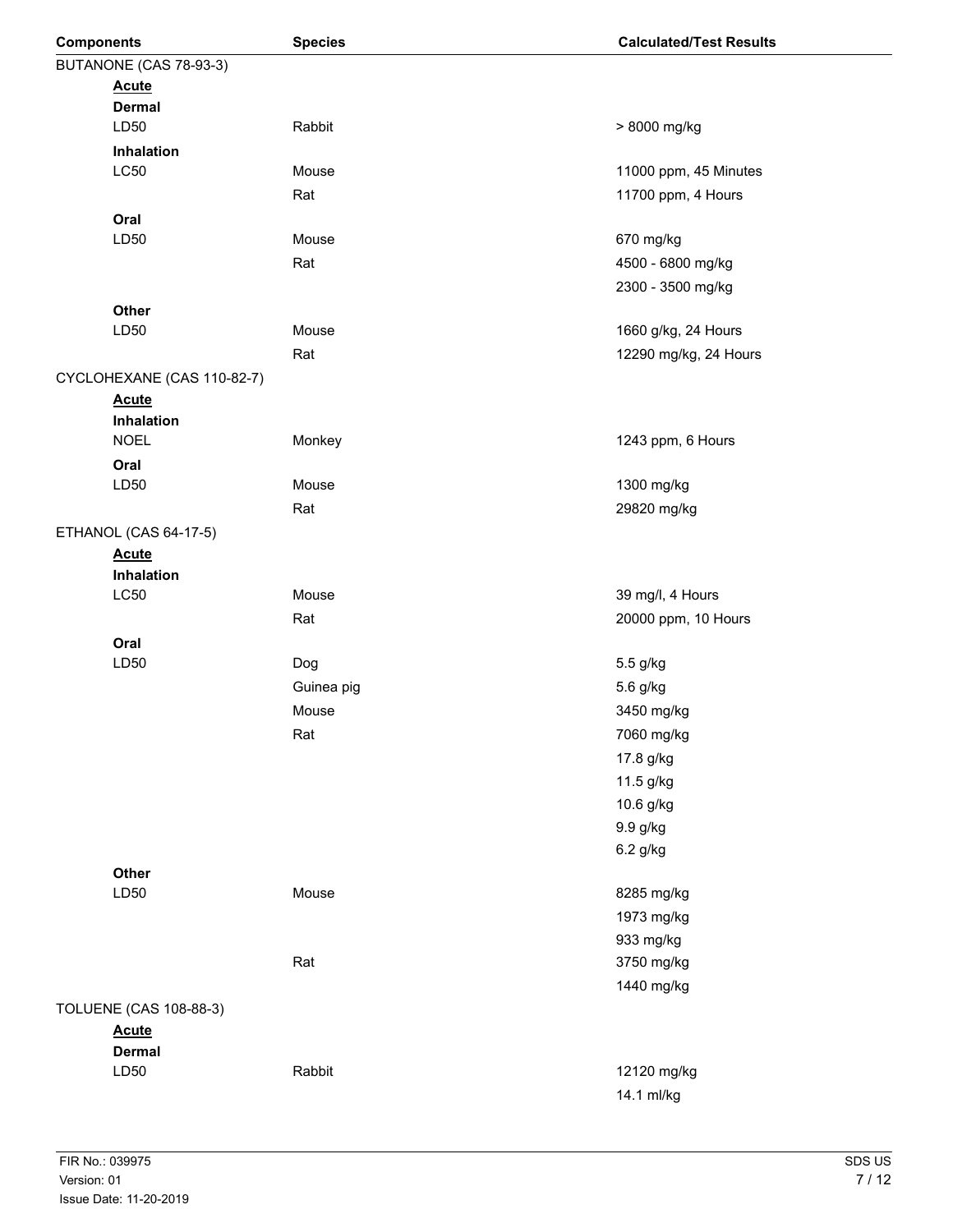| <b>Components</b>      |                               | <b>Species</b> | <b>Calculated/Test Results</b> |  |
|------------------------|-------------------------------|----------------|--------------------------------|--|
| BUTANONE (CAS 78-93-3) |                               |                |                                |  |
|                        | <b>Acute</b>                  |                |                                |  |
|                        | <b>Dermal</b>                 |                |                                |  |
|                        | LD50                          | Rabbit         | > 8000 mg/kg                   |  |
|                        | Inhalation                    |                |                                |  |
|                        | <b>LC50</b>                   | Mouse          | 11000 ppm, 45 Minutes          |  |
|                        |                               | Rat            | 11700 ppm, 4 Hours             |  |
|                        | Oral                          |                |                                |  |
|                        | LD50                          | Mouse          | 670 mg/kg                      |  |
|                        |                               | Rat            | 4500 - 6800 mg/kg              |  |
|                        |                               |                | 2300 - 3500 mg/kg              |  |
|                        | Other                         |                |                                |  |
|                        | LD50                          | Mouse          | 1660 g/kg, 24 Hours            |  |
|                        |                               | Rat            | 12290 mg/kg, 24 Hours          |  |
|                        | CYCLOHEXANE (CAS 110-82-7)    |                |                                |  |
|                        | <b>Acute</b>                  |                |                                |  |
|                        | Inhalation                    |                |                                |  |
|                        | <b>NOEL</b>                   | Monkey         | 1243 ppm, 6 Hours              |  |
|                        | Oral<br>LD50                  | Mouse          | 1300 mg/kg                     |  |
|                        |                               |                |                                |  |
|                        |                               | Rat            | 29820 mg/kg                    |  |
|                        | ETHANOL (CAS 64-17-5)         |                |                                |  |
|                        | <b>Acute</b><br>Inhalation    |                |                                |  |
|                        | L <sub>C</sub> 50             | Mouse          | 39 mg/l, 4 Hours               |  |
|                        |                               | Rat            | 20000 ppm, 10 Hours            |  |
|                        | Oral                          |                |                                |  |
|                        | LD50                          | Dog            | 5.5 g/kg                       |  |
|                        |                               | Guinea pig     | 5.6 g/kg                       |  |
|                        |                               | Mouse          | 3450 mg/kg                     |  |
|                        |                               | Rat            | 7060 mg/kg                     |  |
|                        |                               |                | 17.8 g/kg                      |  |
|                        |                               |                | 11.5 g/kg                      |  |
|                        |                               |                | 10.6 g/kg                      |  |
|                        |                               |                | 9.9 g/kg                       |  |
|                        |                               |                | 6.2 g/kg                       |  |
|                        | Other                         |                |                                |  |
|                        | LD50                          | Mouse          | 8285 mg/kg                     |  |
|                        |                               |                | 1973 mg/kg                     |  |
|                        |                               |                | 933 mg/kg                      |  |
|                        |                               | Rat            | 3750 mg/kg                     |  |
|                        |                               |                | 1440 mg/kg                     |  |
|                        | <b>TOLUENE (CAS 108-88-3)</b> |                |                                |  |
|                        | <b>Acute</b>                  |                |                                |  |
|                        | <b>Dermal</b>                 |                |                                |  |
|                        | LD50                          | Rabbit         | 12120 mg/kg                    |  |
|                        |                               |                | 14.1 ml/kg                     |  |
|                        |                               |                |                                |  |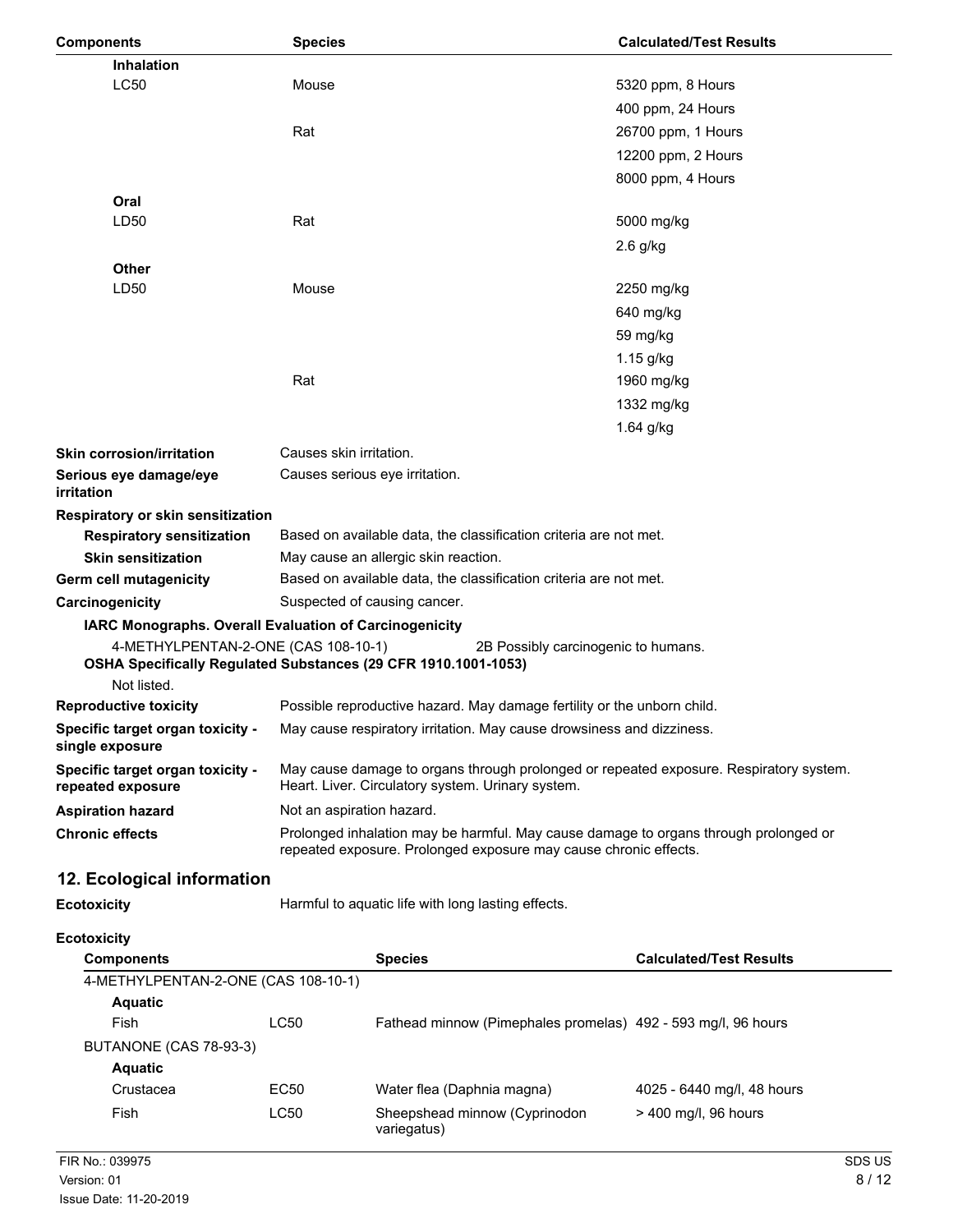| <b>Components</b>                                          | <b>Species</b>                                                                                                                                           | <b>Calculated/Test Results</b>                                          |  |
|------------------------------------------------------------|----------------------------------------------------------------------------------------------------------------------------------------------------------|-------------------------------------------------------------------------|--|
| Inhalation                                                 |                                                                                                                                                          |                                                                         |  |
| <b>LC50</b>                                                | Mouse                                                                                                                                                    | 5320 ppm, 8 Hours                                                       |  |
|                                                            |                                                                                                                                                          | 400 ppm, 24 Hours                                                       |  |
|                                                            | Rat                                                                                                                                                      | 26700 ppm, 1 Hours                                                      |  |
|                                                            |                                                                                                                                                          | 12200 ppm, 2 Hours                                                      |  |
|                                                            |                                                                                                                                                          | 8000 ppm, 4 Hours                                                       |  |
| Oral                                                       |                                                                                                                                                          |                                                                         |  |
| LD50                                                       | Rat                                                                                                                                                      | 5000 mg/kg                                                              |  |
|                                                            |                                                                                                                                                          | $2.6$ g/kg                                                              |  |
| Other                                                      |                                                                                                                                                          |                                                                         |  |
| LD50                                                       | Mouse                                                                                                                                                    | 2250 mg/kg                                                              |  |
|                                                            |                                                                                                                                                          | 640 mg/kg                                                               |  |
|                                                            |                                                                                                                                                          | 59 mg/kg                                                                |  |
|                                                            |                                                                                                                                                          | 1.15 g/kg                                                               |  |
|                                                            | Rat                                                                                                                                                      | 1960 mg/kg                                                              |  |
|                                                            |                                                                                                                                                          | 1332 mg/kg                                                              |  |
|                                                            |                                                                                                                                                          | 1.64 g/kg                                                               |  |
| <b>Skin corrosion/irritation</b>                           | Causes skin irritation.                                                                                                                                  |                                                                         |  |
| Serious eye damage/eye<br>irritation                       | Causes serious eye irritation.                                                                                                                           |                                                                         |  |
| Respiratory or skin sensitization                          |                                                                                                                                                          |                                                                         |  |
| <b>Respiratory sensitization</b>                           |                                                                                                                                                          | Based on available data, the classification criteria are not met.       |  |
| <b>Skin sensitization</b>                                  | May cause an allergic skin reaction.                                                                                                                     |                                                                         |  |
| Germ cell mutagenicity                                     | Based on available data, the classification criteria are not met.                                                                                        |                                                                         |  |
| Carcinogenicity                                            | Suspected of causing cancer.                                                                                                                             |                                                                         |  |
|                                                            | IARC Monographs. Overall Evaluation of Carcinogenicity                                                                                                   |                                                                         |  |
| 4-METHYLPENTAN-2-ONE (CAS 108-10-1)                        |                                                                                                                                                          | 2B Possibly carcinogenic to humans.                                     |  |
|                                                            | OSHA Specifically Regulated Substances (29 CFR 1910.1001-1053)                                                                                           |                                                                         |  |
| Not listed.                                                |                                                                                                                                                          |                                                                         |  |
| <b>Reproductive toxicity</b>                               |                                                                                                                                                          | Possible reproductive hazard. May damage fertility or the unborn child. |  |
| <b>Specific target organ toxicity -</b><br>single exposure | May cause respiratory irritation. May cause drowsiness and dizziness.                                                                                    |                                                                         |  |
| Specific target organ toxicity -<br>repeated exposure      | May cause damage to organs through prolonged or repeated exposure. Respiratory system.<br>Heart. Liver. Circulatory system. Urinary system.              |                                                                         |  |
| <b>Aspiration hazard</b>                                   | Not an aspiration hazard.                                                                                                                                |                                                                         |  |
| <b>Chronic effects</b>                                     | Prolonged inhalation may be harmful. May cause damage to organs through prolonged or<br>repeated exposure. Prolonged exposure may cause chronic effects. |                                                                         |  |
| 12. Ecological information                                 |                                                                                                                                                          |                                                                         |  |
| <b>Ecotoxicity</b>                                         | Harmful to aquatic life with long lasting effects.                                                                                                       |                                                                         |  |
| <b>Ecotoxicity</b>                                         |                                                                                                                                                          |                                                                         |  |
| <b>Components</b>                                          | <b>Species</b>                                                                                                                                           | <b>Calculated/Test Results</b>                                          |  |
| 4-METHYLPENTAN-2-ONE (CAS 108-10-1)                        |                                                                                                                                                          |                                                                         |  |
| <b>Aquatic</b>                                             |                                                                                                                                                          |                                                                         |  |
| Fish                                                       | LC50                                                                                                                                                     | Fathead minnow (Pimephales promelas) 492 - 593 mg/l, 96 hours           |  |

| BUTANONE (CAS 78-93-3) |      |                                              |                            |
|------------------------|------|----------------------------------------------|----------------------------|
| Aquatic                |      |                                              |                            |
| Crustacea              | EC50 | Water flea (Daphnia magna)                   | 4025 - 6440 mg/l, 48 hours |
| Fish                   | LC50 | Sheepshead minnow (Cyprinodon<br>variegatus) | $>$ 400 mg/l, 96 hours     |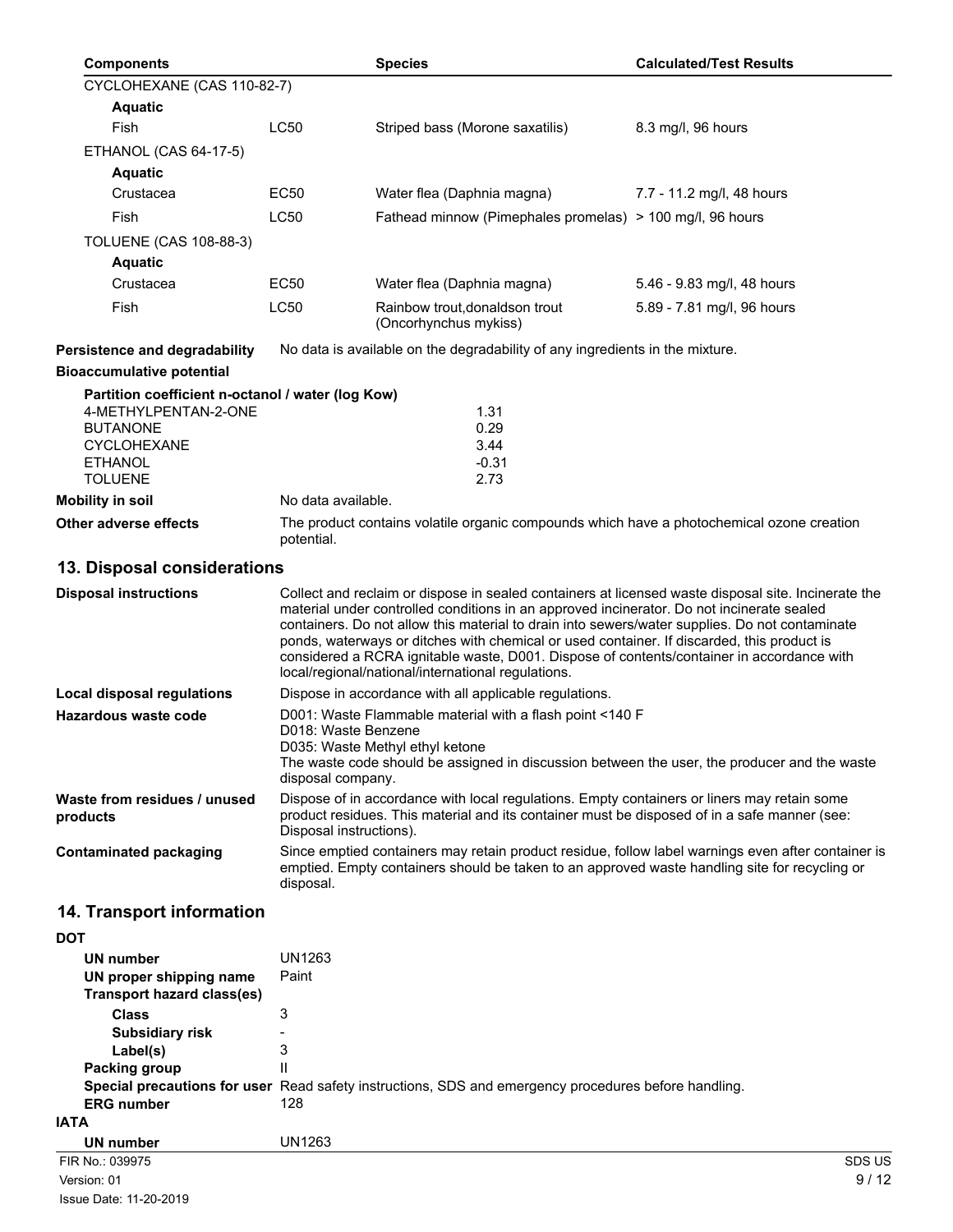|            | <b>Components</b>                                            |                                                                                                                                                                                                                                                                                                                                                                                                                                                                                                                                                     | <b>Species</b>                                                                                       | <b>Calculated/Test Results</b> |
|------------|--------------------------------------------------------------|-----------------------------------------------------------------------------------------------------------------------------------------------------------------------------------------------------------------------------------------------------------------------------------------------------------------------------------------------------------------------------------------------------------------------------------------------------------------------------------------------------------------------------------------------------|------------------------------------------------------------------------------------------------------|--------------------------------|
|            | CYCLOHEXANE (CAS 110-82-7)                                   |                                                                                                                                                                                                                                                                                                                                                                                                                                                                                                                                                     |                                                                                                      |                                |
|            | <b>Aquatic</b>                                               |                                                                                                                                                                                                                                                                                                                                                                                                                                                                                                                                                     |                                                                                                      |                                |
|            | Fish                                                         | <b>LC50</b>                                                                                                                                                                                                                                                                                                                                                                                                                                                                                                                                         | Striped bass (Morone saxatilis)                                                                      | 8.3 mg/l, 96 hours             |
|            | ETHANOL (CAS 64-17-5)                                        |                                                                                                                                                                                                                                                                                                                                                                                                                                                                                                                                                     |                                                                                                      |                                |
|            | <b>Aquatic</b>                                               |                                                                                                                                                                                                                                                                                                                                                                                                                                                                                                                                                     |                                                                                                      |                                |
|            | Crustacea                                                    | EC50                                                                                                                                                                                                                                                                                                                                                                                                                                                                                                                                                | Water flea (Daphnia magna)                                                                           | 7.7 - 11.2 mg/l, 48 hours      |
|            | Fish                                                         | <b>LC50</b>                                                                                                                                                                                                                                                                                                                                                                                                                                                                                                                                         | Fathead minnow (Pimephales promelas) > 100 mg/l, 96 hours                                            |                                |
|            | <b>TOLUENE (CAS 108-88-3)</b>                                |                                                                                                                                                                                                                                                                                                                                                                                                                                                                                                                                                     |                                                                                                      |                                |
|            | <b>Aquatic</b>                                               |                                                                                                                                                                                                                                                                                                                                                                                                                                                                                                                                                     |                                                                                                      |                                |
|            | Crustacea                                                    | EC50                                                                                                                                                                                                                                                                                                                                                                                                                                                                                                                                                | Water flea (Daphnia magna)                                                                           | 5.46 - 9.83 mg/l, 48 hours     |
|            | Fish                                                         | <b>LC50</b>                                                                                                                                                                                                                                                                                                                                                                                                                                                                                                                                         | Rainbow trout, donaldson trout<br>(Oncorhynchus mykiss)                                              | 5.89 - 7.81 mg/l, 96 hours     |
|            | Persistence and degradability                                |                                                                                                                                                                                                                                                                                                                                                                                                                                                                                                                                                     | No data is available on the degradability of any ingredients in the mixture.                         |                                |
|            | <b>Bioaccumulative potential</b>                             |                                                                                                                                                                                                                                                                                                                                                                                                                                                                                                                                                     |                                                                                                      |                                |
|            | Partition coefficient n-octanol / water (log Kow)            |                                                                                                                                                                                                                                                                                                                                                                                                                                                                                                                                                     |                                                                                                      |                                |
|            | 4-METHYLPENTAN-2-ONE                                         |                                                                                                                                                                                                                                                                                                                                                                                                                                                                                                                                                     | 1.31                                                                                                 |                                |
|            | <b>BUTANONE</b><br><b>CYCLOHEXANE</b>                        |                                                                                                                                                                                                                                                                                                                                                                                                                                                                                                                                                     | 0.29<br>3.44                                                                                         |                                |
|            | <b>ETHANOL</b>                                               |                                                                                                                                                                                                                                                                                                                                                                                                                                                                                                                                                     | $-0.31$                                                                                              |                                |
|            | <b>TOLUENE</b>                                               |                                                                                                                                                                                                                                                                                                                                                                                                                                                                                                                                                     | 2.73                                                                                                 |                                |
|            | <b>Mobility in soil</b>                                      | No data available.                                                                                                                                                                                                                                                                                                                                                                                                                                                                                                                                  |                                                                                                      |                                |
|            | Other adverse effects                                        | potential.                                                                                                                                                                                                                                                                                                                                                                                                                                                                                                                                          | The product contains volatile organic compounds which have a photochemical ozone creation            |                                |
|            | 13. Disposal considerations                                  |                                                                                                                                                                                                                                                                                                                                                                                                                                                                                                                                                     |                                                                                                      |                                |
|            | <b>Disposal instructions</b>                                 | Collect and reclaim or dispose in sealed containers at licensed waste disposal site. Incinerate the<br>material under controlled conditions in an approved incinerator. Do not incinerate sealed<br>containers. Do not allow this material to drain into sewers/water supplies. Do not contaminate<br>ponds, waterways or ditches with chemical or used container. If discarded, this product is<br>considered a RCRA ignitable waste, D001. Dispose of contents/container in accordance with<br>local/regional/national/international regulations. |                                                                                                      |                                |
|            | Local disposal regulations                                   |                                                                                                                                                                                                                                                                                                                                                                                                                                                                                                                                                     | Dispose in accordance with all applicable regulations.                                               |                                |
|            | Hazardous waste code                                         | D001: Waste Flammable material with a flash point <140 F<br>D018: Waste Benzene<br>D035: Waste Methyl ethyl ketone<br>The waste code should be assigned in discussion between the user, the producer and the waste<br>disposal company.                                                                                                                                                                                                                                                                                                             |                                                                                                      |                                |
|            | Waste from residues / unused<br>products                     | Dispose of in accordance with local regulations. Empty containers or liners may retain some<br>product residues. This material and its container must be disposed of in a safe manner (see:<br>Disposal instructions).                                                                                                                                                                                                                                                                                                                              |                                                                                                      |                                |
|            | <b>Contaminated packaging</b>                                | Since emptied containers may retain product residue, follow label warnings even after container is<br>emptied. Empty containers should be taken to an approved waste handling site for recycling or<br>disposal.                                                                                                                                                                                                                                                                                                                                    |                                                                                                      |                                |
|            | 14. Transport information                                    |                                                                                                                                                                                                                                                                                                                                                                                                                                                                                                                                                     |                                                                                                      |                                |
| <b>DOT</b> |                                                              |                                                                                                                                                                                                                                                                                                                                                                                                                                                                                                                                                     |                                                                                                      |                                |
|            | <b>UN number</b>                                             | <b>UN1263</b>                                                                                                                                                                                                                                                                                                                                                                                                                                                                                                                                       |                                                                                                      |                                |
|            | UN proper shipping name<br><b>Transport hazard class(es)</b> | Paint                                                                                                                                                                                                                                                                                                                                                                                                                                                                                                                                               |                                                                                                      |                                |
|            | <b>Class</b>                                                 | 3                                                                                                                                                                                                                                                                                                                                                                                                                                                                                                                                                   |                                                                                                      |                                |
|            | <b>Subsidiary risk</b>                                       |                                                                                                                                                                                                                                                                                                                                                                                                                                                                                                                                                     |                                                                                                      |                                |
|            | Label(s)<br><b>Packing group</b>                             | 3<br>$\mathsf{II}$                                                                                                                                                                                                                                                                                                                                                                                                                                                                                                                                  |                                                                                                      |                                |
|            |                                                              |                                                                                                                                                                                                                                                                                                                                                                                                                                                                                                                                                     | Special precautions for user Read safety instructions, SDS and emergency procedures before handling. |                                |
|            |                                                              |                                                                                                                                                                                                                                                                                                                                                                                                                                                                                                                                                     |                                                                                                      |                                |

**ERG number** 128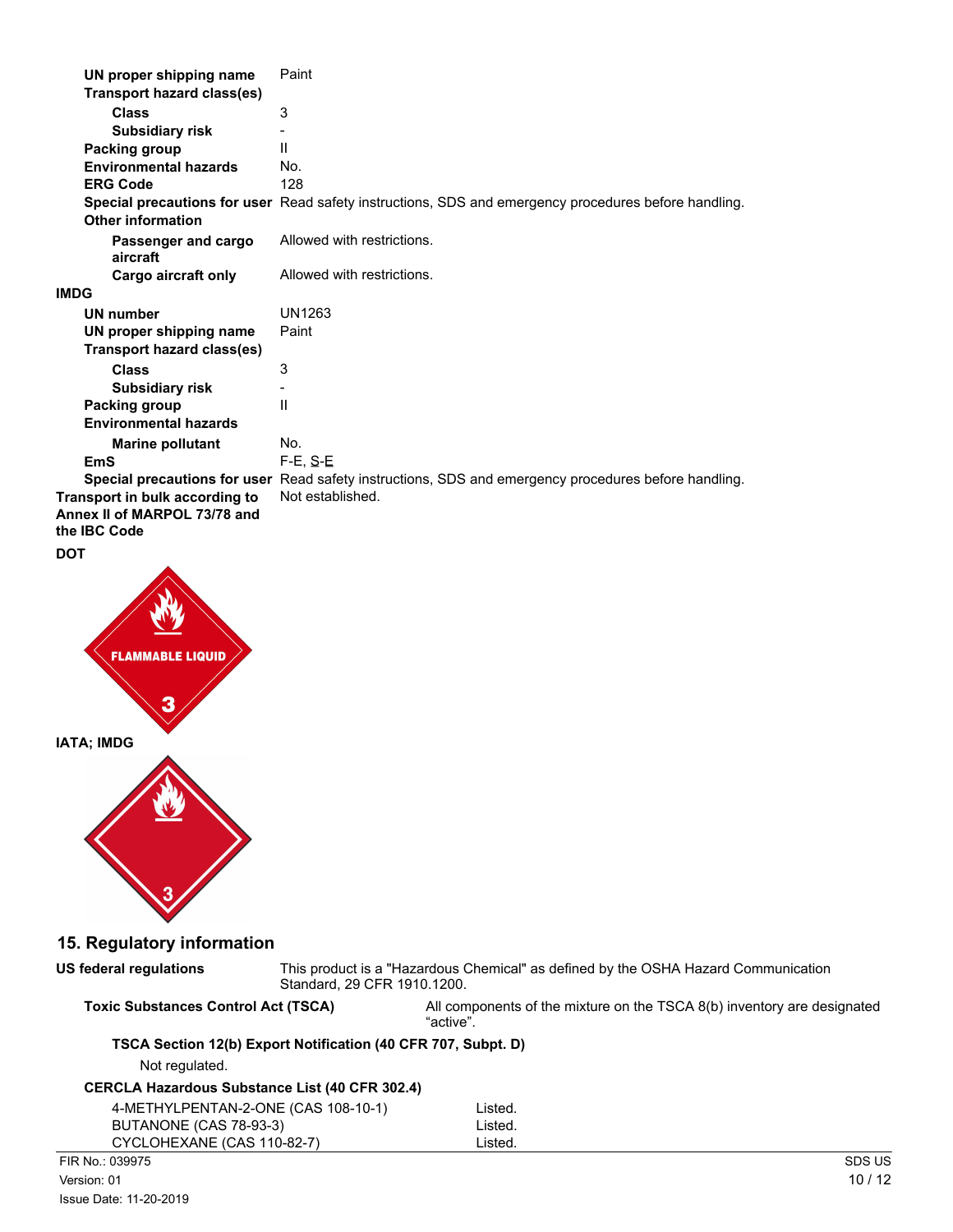| UN proper shipping name                                                        | Paint                                                                                                |
|--------------------------------------------------------------------------------|------------------------------------------------------------------------------------------------------|
| <b>Transport hazard class(es)</b>                                              |                                                                                                      |
| <b>Class</b>                                                                   | 3                                                                                                    |
| <b>Subsidiary risk</b>                                                         |                                                                                                      |
| Packing group                                                                  | Ш                                                                                                    |
| <b>Environmental hazards</b>                                                   | No.                                                                                                  |
| <b>ERG Code</b>                                                                | 128                                                                                                  |
|                                                                                | Special precautions for user Read safety instructions, SDS and emergency procedures before handling. |
| <b>Other information</b>                                                       |                                                                                                      |
| Passenger and cargo<br>aircraft                                                | Allowed with restrictions.                                                                           |
| Cargo aircraft only                                                            | Allowed with restrictions.                                                                           |
| IMDG                                                                           |                                                                                                      |
| <b>UN number</b>                                                               | UN1263                                                                                               |
| UN proper shipping name                                                        | Paint                                                                                                |
| Transport hazard class(es)                                                     |                                                                                                      |
| <b>Class</b>                                                                   | 3                                                                                                    |
| <b>Subsidiary risk</b>                                                         |                                                                                                      |
| <b>Packing group</b>                                                           | $\mathsf{II}$                                                                                        |
| <b>Environmental hazards</b>                                                   |                                                                                                      |
| <b>Marine pollutant</b>                                                        | No.                                                                                                  |
| <b>EmS</b>                                                                     | $F-E, S-E$                                                                                           |
|                                                                                | Special precautions for user Read safety instructions, SDS and emergency procedures before handling. |
| Transport in bulk according to<br>Annex II of MARPOL 73/78 and<br>the IBC Code | Not established.                                                                                     |
| DOT                                                                            |                                                                                                      |
| <b>FLAMMABLE LIQUID</b>                                                        |                                                                                                      |



**US federal regulations**

**IATA; IMDG**

This product is a "Hazardous Chemical" as defined by the OSHA Hazard Communication Standard, 29 CFR 1910.1200.

**Toxic Substances Control Act (TSCA)** All components of the mixture on the TSCA 8(b) inventory are designated "active".

## **TSCA Section 12(b) Export Notification (40 CFR 707, Subpt. D)**

Not regulated.

# **CERCLA Hazardous Substance List (40 CFR 302.4)**

| 4-METHYLPENTAN-2-ONE (CAS 108-10-1) | Listed. |
|-------------------------------------|---------|
| BUTANONE (CAS 78-93-3)              | Listed. |
| CYCLOHEXANE (CAS 110-82-7)          | Listed. |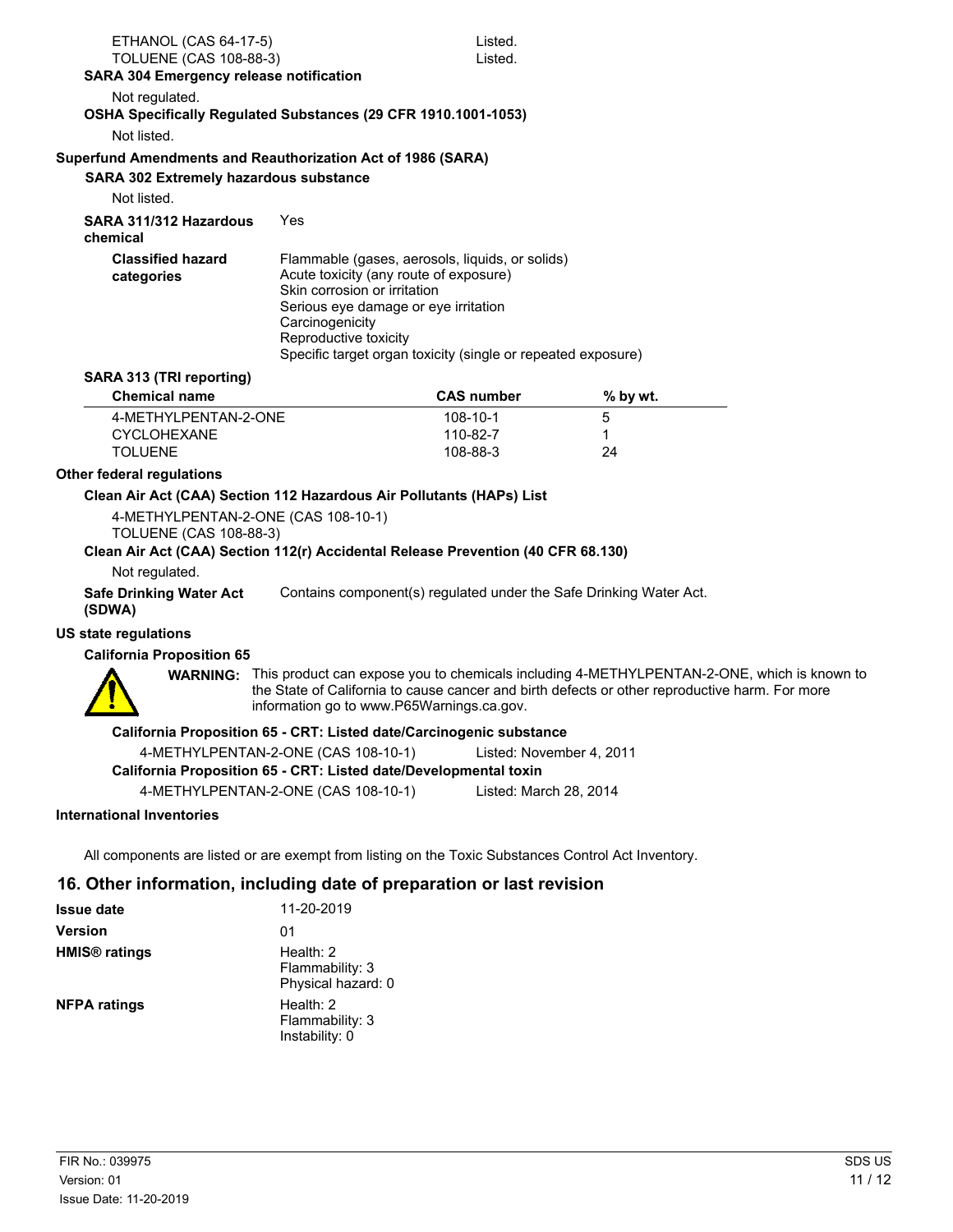| ETHANOL (CAS 64-17-5)                                                                               |                                                                        | Listed.                                                      |                                                                                                                                                                                                       |  |
|-----------------------------------------------------------------------------------------------------|------------------------------------------------------------------------|--------------------------------------------------------------|-------------------------------------------------------------------------------------------------------------------------------------------------------------------------------------------------------|--|
| <b>TOLUENE (CAS 108-88-3)</b>                                                                       |                                                                        | Listed.                                                      |                                                                                                                                                                                                       |  |
| SARA 304 Emergency release notification                                                             |                                                                        |                                                              |                                                                                                                                                                                                       |  |
| Not regulated.<br>OSHA Specifically Regulated Substances (29 CFR 1910.1001-1053)                    |                                                                        |                                                              |                                                                                                                                                                                                       |  |
| Not listed.                                                                                         |                                                                        |                                                              |                                                                                                                                                                                                       |  |
| Superfund Amendments and Reauthorization Act of 1986 (SARA)                                         |                                                                        |                                                              |                                                                                                                                                                                                       |  |
| <b>SARA 302 Extremely hazardous substance</b>                                                       |                                                                        |                                                              |                                                                                                                                                                                                       |  |
| Not listed.                                                                                         |                                                                        |                                                              |                                                                                                                                                                                                       |  |
| SARA 311/312 Hazardous<br>chemical                                                                  | Yes                                                                    |                                                              |                                                                                                                                                                                                       |  |
| <b>Classified hazard</b>                                                                            |                                                                        | Flammable (gases, aerosols, liquids, or solids)              |                                                                                                                                                                                                       |  |
| categories                                                                                          | Acute toxicity (any route of exposure)<br>Skin corrosion or irritation |                                                              |                                                                                                                                                                                                       |  |
|                                                                                                     | Serious eye damage or eye irritation                                   |                                                              |                                                                                                                                                                                                       |  |
|                                                                                                     | Carcinogenicity                                                        |                                                              |                                                                                                                                                                                                       |  |
|                                                                                                     | Reproductive toxicity                                                  | Specific target organ toxicity (single or repeated exposure) |                                                                                                                                                                                                       |  |
| SARA 313 (TRI reporting)                                                                            |                                                                        |                                                              |                                                                                                                                                                                                       |  |
| <b>Chemical name</b>                                                                                |                                                                        | <b>CAS number</b>                                            | % by wt.                                                                                                                                                                                              |  |
| 4-METHYLPENTAN-2-ONE                                                                                |                                                                        | 108-10-1                                                     | 5                                                                                                                                                                                                     |  |
| <b>CYCLOHEXANE</b>                                                                                  |                                                                        | 110-82-7                                                     | 1                                                                                                                                                                                                     |  |
| <b>TOLUENE</b>                                                                                      |                                                                        | 108-88-3                                                     | 24                                                                                                                                                                                                    |  |
| Other federal regulations                                                                           |                                                                        |                                                              |                                                                                                                                                                                                       |  |
| Clean Air Act (CAA) Section 112 Hazardous Air Pollutants (HAPs) List                                |                                                                        |                                                              |                                                                                                                                                                                                       |  |
| 4-METHYLPENTAN-2-ONE (CAS 108-10-1)<br><b>TOLUENE (CAS 108-88-3)</b>                                |                                                                        |                                                              |                                                                                                                                                                                                       |  |
| Clean Air Act (CAA) Section 112(r) Accidental Release Prevention (40 CFR 68.130)                    |                                                                        |                                                              |                                                                                                                                                                                                       |  |
| Not regulated.                                                                                      |                                                                        |                                                              |                                                                                                                                                                                                       |  |
| <b>Safe Drinking Water Act</b><br>(SDWA)                                                            |                                                                        |                                                              | Contains component(s) regulated under the Safe Drinking Water Act.                                                                                                                                    |  |
| <b>US state regulations</b>                                                                         |                                                                        |                                                              |                                                                                                                                                                                                       |  |
| <b>California Proposition 65</b>                                                                    |                                                                        |                                                              |                                                                                                                                                                                                       |  |
|                                                                                                     | information go to www.P65Warnings.ca.gov.                              |                                                              | WARNING: This product can expose you to chemicals including 4-METHYLPENTAN-2-ONE, which is known to<br>the State of California to cause cancer and birth defects or other reproductive harm. For more |  |
|                                                                                                     | California Proposition 65 - CRT: Listed date/Carcinogenic substance    |                                                              |                                                                                                                                                                                                       |  |
|                                                                                                     | 4-METHYLPENTAN-2-ONE (CAS 108-10-1)                                    | Listed: November 4, 2011                                     |                                                                                                                                                                                                       |  |
|                                                                                                     | California Proposition 65 - CRT: Listed date/Developmental toxin       |                                                              |                                                                                                                                                                                                       |  |
|                                                                                                     | 4-METHYLPENTAN-2-ONE (CAS 108-10-1)                                    | Listed: March 28, 2014                                       |                                                                                                                                                                                                       |  |
| <b>International Inventories</b>                                                                    |                                                                        |                                                              |                                                                                                                                                                                                       |  |
|                                                                                                     |                                                                        |                                                              |                                                                                                                                                                                                       |  |
| All components are listed or are exempt from listing on the Toxic Substances Control Act Inventory. |                                                                        |                                                              |                                                                                                                                                                                                       |  |

# **16. Other information, including date of preparation or last revision**

| <b>Issue date</b>               | 11-20-2019                                           |
|---------------------------------|------------------------------------------------------|
| <b>Version</b>                  | 01                                                   |
| <b>HMIS<sup>®</sup></b> ratings | Health: $2$<br>Flammability: 3<br>Physical hazard: 0 |
| <b>NFPA ratings</b>             | Health: $2$<br>Flammability: 3<br>Instability: 0     |